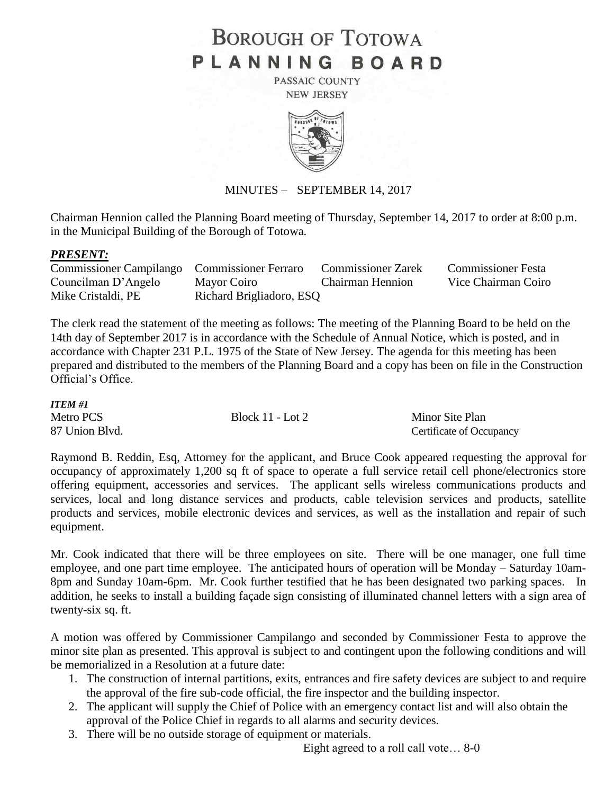# **BOROUGH OF TOTOWA** PLANNING BOARD

PASSAIC COUNTY **NEW JERSEY** 



# MINUTES – SEPTEMBER 14, 2017

Chairman Hennion called the Planning Board meeting of Thursday, September 14, 2017 to order at 8:00 p.m. in the Municipal Building of the Borough of Totowa.

#### *PRESENT:*

| Commissioner Campilango Commissioner Ferraro |                          | <b>Commissioner Zarek</b> | <b>Commissioner Festa</b> |
|----------------------------------------------|--------------------------|---------------------------|---------------------------|
| Councilman D'Angelo                          | Mayor Coiro              | Chairman Hennion          | Vice Chairman Coiro       |
| Mike Cristaldi, PE                           | Richard Brigliadoro, ESQ |                           |                           |

The clerk read the statement of the meeting as follows: The meeting of the Planning Board to be held on the 14th day of September 2017 is in accordance with the Schedule of Annual Notice, which is posted, and in accordance with Chapter 231 P.L. 1975 of the State of New Jersey. The agenda for this meeting has been prepared and distributed to the members of the Planning Board and a copy has been on file in the Construction Official's Office.

| <b>ITEM#1</b>  |                  |                          |
|----------------|------------------|--------------------------|
| Metro PCS      | Block 11 - Lot 2 | Minor Site Plan          |
| 87 Union Blvd. |                  | Certificate of Occupancy |

Raymond B. Reddin, Esq, Attorney for the applicant, and Bruce Cook appeared requesting the approval for occupancy of approximately 1,200 sq ft of space to operate a full service retail cell phone/electronics store offering equipment, accessories and services. The applicant sells wireless communications products and services, local and long distance services and products, cable television services and products, satellite products and services, mobile electronic devices and services, as well as the installation and repair of such equipment.

Mr. Cook indicated that there will be three employees on site. There will be one manager, one full time employee, and one part time employee. The anticipated hours of operation will be Monday – Saturday 10am-8pm and Sunday 10am-6pm. Mr. Cook further testified that he has been designated two parking spaces. In addition, he seeks to install a building façade sign consisting of illuminated channel letters with a sign area of twenty-six sq. ft.

A motion was offered by Commissioner Campilango and seconded by Commissioner Festa to approve the minor site plan as presented. This approval is subject to and contingent upon the following conditions and will be memorialized in a Resolution at a future date:

- 1. The construction of internal partitions, exits, entrances and fire safety devices are subject to and require the approval of the fire sub-code official, the fire inspector and the building inspector.
- 2. The applicant will supply the Chief of Police with an emergency contact list and will also obtain the approval of the Police Chief in regards to all alarms and security devices.
- 3. There will be no outside storage of equipment or materials.

Eight agreed to a roll call vote… 8-0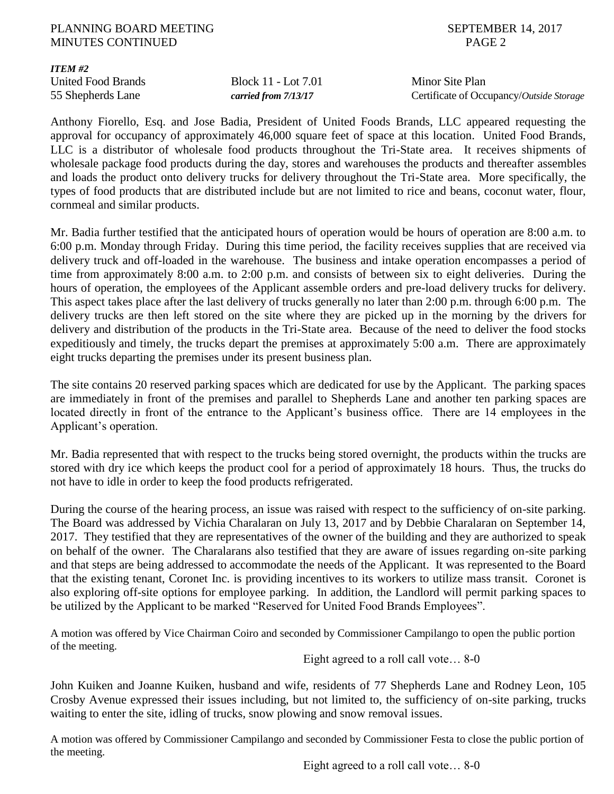## PLANNING BOARD MEETING SEPTEMBER 14, 2017 MINUTES CONTINUED PAGE 2

*ITEM #2*

United Food Brands Block 11 - Lot 7.01 Minor Site Plan

55 Shepherds Lane *carried from 7/13/17* Certificate of Occupancy/*Outside Storage*

Anthony Fiorello, Esq. and Jose Badia, President of United Foods Brands, LLC appeared requesting the approval for occupancy of approximately 46,000 square feet of space at this location. United Food Brands, LLC is a distributor of wholesale food products throughout the Tri-State area. It receives shipments of wholesale package food products during the day, stores and warehouses the products and thereafter assembles and loads the product onto delivery trucks for delivery throughout the Tri-State area. More specifically, the types of food products that are distributed include but are not limited to rice and beans, coconut water, flour, cornmeal and similar products.

Mr. Badia further testified that the anticipated hours of operation would be hours of operation are 8:00 a.m. to 6:00 p.m. Monday through Friday. During this time period, the facility receives supplies that are received via delivery truck and off-loaded in the warehouse. The business and intake operation encompasses a period of time from approximately 8:00 a.m. to 2:00 p.m. and consists of between six to eight deliveries. During the hours of operation, the employees of the Applicant assemble orders and pre-load delivery trucks for delivery. This aspect takes place after the last delivery of trucks generally no later than 2:00 p.m. through 6:00 p.m. The delivery trucks are then left stored on the site where they are picked up in the morning by the drivers for delivery and distribution of the products in the Tri-State area. Because of the need to deliver the food stocks expeditiously and timely, the trucks depart the premises at approximately 5:00 a.m. There are approximately eight trucks departing the premises under its present business plan.

The site contains 20 reserved parking spaces which are dedicated for use by the Applicant. The parking spaces are immediately in front of the premises and parallel to Shepherds Lane and another ten parking spaces are located directly in front of the entrance to the Applicant's business office. There are 14 employees in the Applicant's operation.

Mr. Badia represented that with respect to the trucks being stored overnight, the products within the trucks are stored with dry ice which keeps the product cool for a period of approximately 18 hours. Thus, the trucks do not have to idle in order to keep the food products refrigerated.

During the course of the hearing process, an issue was raised with respect to the sufficiency of on-site parking. The Board was addressed by Vichia Charalaran on July 13, 2017 and by Debbie Charalaran on September 14, 2017. They testified that they are representatives of the owner of the building and they are authorized to speak on behalf of the owner. The Charalarans also testified that they are aware of issues regarding on-site parking and that steps are being addressed to accommodate the needs of the Applicant. It was represented to the Board that the existing tenant, Coronet Inc. is providing incentives to its workers to utilize mass transit. Coronet is also exploring off-site options for employee parking. In addition, the Landlord will permit parking spaces to be utilized by the Applicant to be marked "Reserved for United Food Brands Employees".

A motion was offered by Vice Chairman Coiro and seconded by Commissioner Campilango to open the public portion of the meeting.

Eight agreed to a roll call vote… 8-0

John Kuiken and Joanne Kuiken, husband and wife, residents of 77 Shepherds Lane and Rodney Leon, 105 Crosby Avenue expressed their issues including, but not limited to, the sufficiency of on-site parking, trucks waiting to enter the site, idling of trucks, snow plowing and snow removal issues.

A motion was offered by Commissioner Campilango and seconded by Commissioner Festa to close the public portion of the meeting.

Eight agreed to a roll call vote… 8-0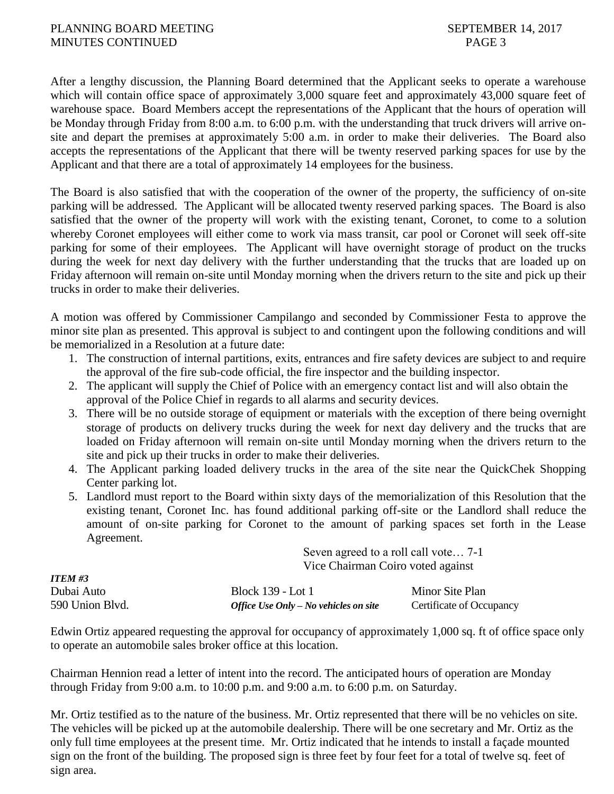After a lengthy discussion, the Planning Board determined that the Applicant seeks to operate a warehouse which will contain office space of approximately 3,000 square feet and approximately 43,000 square feet of warehouse space. Board Members accept the representations of the Applicant that the hours of operation will be Monday through Friday from 8:00 a.m. to 6:00 p.m. with the understanding that truck drivers will arrive onsite and depart the premises at approximately 5:00 a.m. in order to make their deliveries. The Board also accepts the representations of the Applicant that there will be twenty reserved parking spaces for use by the Applicant and that there are a total of approximately 14 employees for the business.

The Board is also satisfied that with the cooperation of the owner of the property, the sufficiency of on-site parking will be addressed. The Applicant will be allocated twenty reserved parking spaces. The Board is also satisfied that the owner of the property will work with the existing tenant, Coronet, to come to a solution whereby Coronet employees will either come to work via mass transit, car pool or Coronet will seek off-site parking for some of their employees. The Applicant will have overnight storage of product on the trucks during the week for next day delivery with the further understanding that the trucks that are loaded up on Friday afternoon will remain on-site until Monday morning when the drivers return to the site and pick up their trucks in order to make their deliveries.

A motion was offered by Commissioner Campilango and seconded by Commissioner Festa to approve the minor site plan as presented. This approval is subject to and contingent upon the following conditions and will be memorialized in a Resolution at a future date:

- 1. The construction of internal partitions, exits, entrances and fire safety devices are subject to and require the approval of the fire sub-code official, the fire inspector and the building inspector.
- 2. The applicant will supply the Chief of Police with an emergency contact list and will also obtain the approval of the Police Chief in regards to all alarms and security devices.
- 3. There will be no outside storage of equipment or materials with the exception of there being overnight storage of products on delivery trucks during the week for next day delivery and the trucks that are loaded on Friday afternoon will remain on-site until Monday morning when the drivers return to the site and pick up their trucks in order to make their deliveries.
- 4. The Applicant parking loaded delivery trucks in the area of the site near the QuickChek Shopping Center parking lot.
- 5. Landlord must report to the Board within sixty days of the memorialization of this Resolution that the existing tenant, Coronet Inc. has found additional parking off-site or the Landlord shall reduce the amount of on-site parking for Coronet to the amount of parking spaces set forth in the Lease Agreement. Seven agreed to a roll call vote… 7-1

|                 | Vice Chairman Coiro voted against      |                          |  |
|-----------------|----------------------------------------|--------------------------|--|
| ITEM #3         |                                        |                          |  |
| Dubai Auto      | Block 139 - Lot 1                      | Minor Site Plan          |  |
| 590 Union Blvd. | Office Use Only $-No$ vehicles on site | Certificate of Occupancy |  |

Edwin Ortiz appeared requesting the approval for occupancy of approximately 1,000 sq. ft of office space only to operate an automobile sales broker office at this location.

Chairman Hennion read a letter of intent into the record. The anticipated hours of operation are Monday through Friday from 9:00 a.m. to 10:00 p.m. and 9:00 a.m. to 6:00 p.m. on Saturday.

Mr. Ortiz testified as to the nature of the business. Mr. Ortiz represented that there will be no vehicles on site. The vehicles will be picked up at the automobile dealership. There will be one secretary and Mr. Ortiz as the only full time employees at the present time. Mr. Ortiz indicated that he intends to install a façade mounted sign on the front of the building. The proposed sign is three feet by four feet for a total of twelve sq. feet of sign area.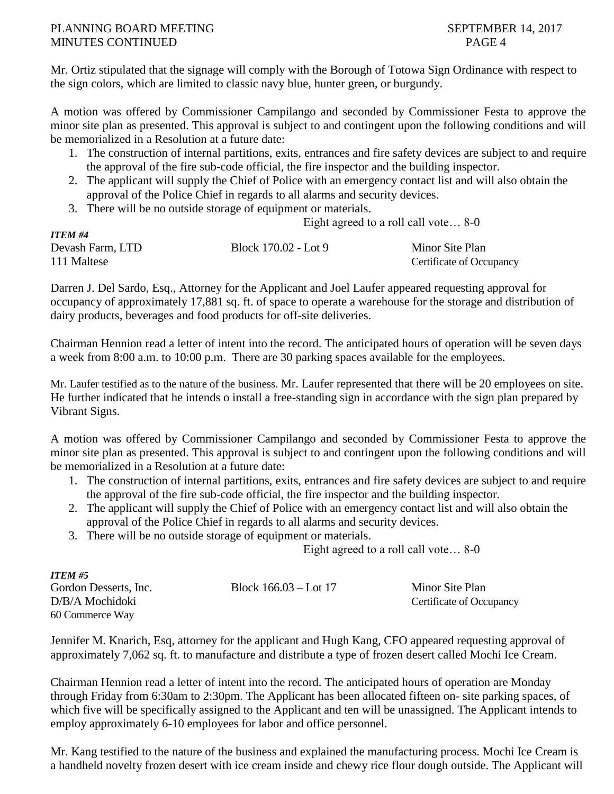Mr. Ortiz stipulated that the signage will comply with the Borough of Totowa Sign Ordinance with respect to the sign colors, which are limited to classic navy blue, hunter green, or burgundy.

A motion was offered by Commissioner Campilango and seconded by Commissioner Festa to approve the minor site plan as presented. This approval is subject to and contingent upon the following conditions and will be memorialized in a Resolution at a future date:

- 1. The construction of internal partitions, exits, entrances and fire safety devices are subject to and require the approval of the fire sub-code official, the fire inspector and the building inspector.
- 2. The applicant will supply the Chief of Police with an emergency contact list and will also obtain the approval of the Police Chief in regards to all alarms and security devices.
- 3. There will be no outside storage of equipment or materials.

Eight agreed to a roll call vote… 8-0

| <b>ITEM #4</b>   |                      |                          |
|------------------|----------------------|--------------------------|
| Devash Farm, LTD | Block 170.02 - Lot 9 | Minor Site Plan          |
| 111 Maltese      |                      | Certificate of Occupancy |

Darren J. Del Sardo, Esq., Attorney for the Applicant and Joel Laufer appeared requesting approval for occupancy of approximately 17,881 sq. ft. of space to operate a warehouse for the storage and distribution of dairy products, beverages and food products for off-site deliveries.

Chairman Hennion read a letter of intent into the record. The anticipated hours of operation will be seven days a week from 8:00 a.m. to 10:00 p.m. There are 30 parking spaces available for the employees.

Mr. Laufer testified as to the nature of the business. Mr. Laufer represented that there will be 20 employees on site. He further indicated that he intends o install a free-standing sign in accordance with the sign plan prepared by Vibrant Signs.

A motion was offered by Commissioner Campilango and seconded by Commissioner Festa to approve the minor site plan as presented. This approval is subject to and contingent upon the following conditions and will be memorialized in a Resolution at a future date:

- 1. The construction of internal partitions, exits, entrances and fire safety devices are subject to and require the approval of the fire sub-code official, the fire inspector and the building inspector.
- 2. The applicant will supply the Chief of Police with an emergency contact list and will also obtain the approval of the Police Chief in regards to all alarms and security devices.
- 3. There will be no outside storage of equipment or materials.

*ITEM #5*

Eight agreed to a roll call vote… 8-0

| 11 EM #3              |                         |                          |
|-----------------------|-------------------------|--------------------------|
| Gordon Desserts, Inc. | Block $166.03 -$ Lot 17 | Minor Site Plan          |
| D/B/A Mochidoki       |                         | Certificate of Occupancy |
| 60 Commerce Way       |                         |                          |

Jennifer M. Knarich, Esq, attorney for the applicant and Hugh Kang, CFO appeared requesting approval of approximately 7,062 sq. ft. to manufacture and distribute a type of frozen desert called Mochi Ice Cream.

Chairman Hennion read a letter of intent into the record. The anticipated hours of operation are Monday through Friday from 6:30am to 2:30pm. The Applicant has been allocated fifteen on- site parking spaces, of which five will be specifically assigned to the Applicant and ten will be unassigned. The Applicant intends to employ approximately 6-10 employees for labor and office personnel.

Mr. Kang testified to the nature of the business and explained the manufacturing process. Mochi Ice Cream is a handheld novelty frozen desert with ice cream inside and chewy rice flour dough outside. The Applicant will